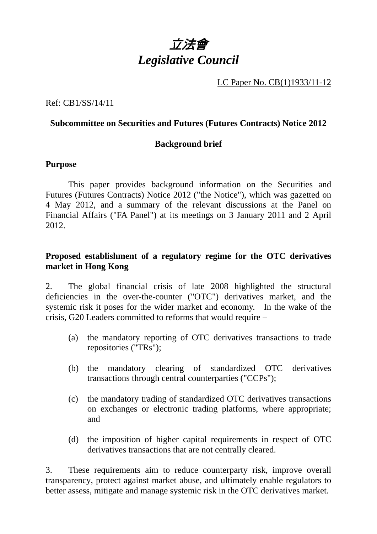

LC Paper No. CB(1)1933/11-12

Ref: CB1/SS/14/11

#### **Subcommittee on Securities and Futures (Futures Contracts) Notice 2012**

### **Background brief**

#### **Purpose**

 This paper provides background information on the Securities and Futures (Futures Contracts) Notice 2012 ("the Notice"), which was gazetted on 4 May 2012, and a summary of the relevant discussions at the Panel on Financial Affairs ("FA Panel") at its meetings on 3 January 2011 and 2 April 2012.

### **Proposed establishment of a regulatory regime for the OTC derivatives market in Hong Kong**

2. The global financial crisis of late 2008 highlighted the structural deficiencies in the over-the-counter ("OTC") derivatives market, and the systemic risk it poses for the wider market and economy. In the wake of the crisis, G20 Leaders committed to reforms that would require –

- (a) the mandatory reporting of OTC derivatives transactions to trade repositories ("TRs");
- (b) the mandatory clearing of standardized OTC derivatives transactions through central counterparties ("CCPs");
- (c) the mandatory trading of standardized OTC derivatives transactions on exchanges or electronic trading platforms, where appropriate; and
- (d) the imposition of higher capital requirements in respect of OTC derivatives transactions that are not centrally cleared.

3. These requirements aim to reduce counterparty risk, improve overall transparency, protect against market abuse, and ultimately enable regulators to better assess, mitigate and manage systemic risk in the OTC derivatives market.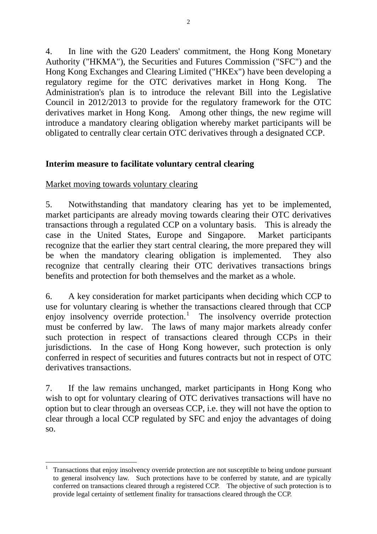4. In line with the G20 Leaders' commitment, the Hong Kong Monetary Authority ("HKMA"), the Securities and Futures Commission ("SFC") and the Hong Kong Exchanges and Clearing Limited ("HKEx") have been developing a regulatory regime for the OTC derivatives market in Hong Kong. The Administration's plan is to introduce the relevant Bill into the Legislative Council in 2012/2013 to provide for the regulatory framework for the OTC derivatives market in Hong Kong. Among other things, the new regime will introduce a mandatory clearing obligation whereby market participants will be obligated to centrally clear certain OTC derivatives through a designated CCP.

## **Interim measure to facilitate voluntary central clearing**

## Market moving towards voluntary clearing

1

5. Notwithstanding that mandatory clearing has yet to be implemented, market participants are already moving towards clearing their OTC derivatives transactions through a regulated CCP on a voluntary basis. This is already the case in the United States, Europe and Singapore. Market participants recognize that the earlier they start central clearing, the more prepared they will be when the mandatory clearing obligation is implemented. They also recognize that centrally clearing their OTC derivatives transactions brings benefits and protection for both themselves and the market as a whole.

6. A key consideration for market participants when deciding which CCP to use for voluntary clearing is whether the transactions cleared through that CCP enjoy insolvency override protection.<sup>1</sup> The insolvency override protection must be conferred by law. The laws of many major markets already confer such protection in respect of transactions cleared through CCPs in their jurisdictions. In the case of Hong Kong however, such protection is only conferred in respect of securities and futures contracts but not in respect of OTC derivatives transactions.

7. If the law remains unchanged, market participants in Hong Kong who wish to opt for voluntary clearing of OTC derivatives transactions will have no option but to clear through an overseas CCP, i.e. they will not have the option to clear through a local CCP regulated by SFC and enjoy the advantages of doing so.

<sup>1</sup> Transactions that enjoy insolvency override protection are not susceptible to being undone pursuant to general insolvency law. Such protections have to be conferred by statute, and are typically conferred on transactions cleared through a registered CCP. The objective of such protection is to provide legal certainty of settlement finality for transactions cleared through the CCP.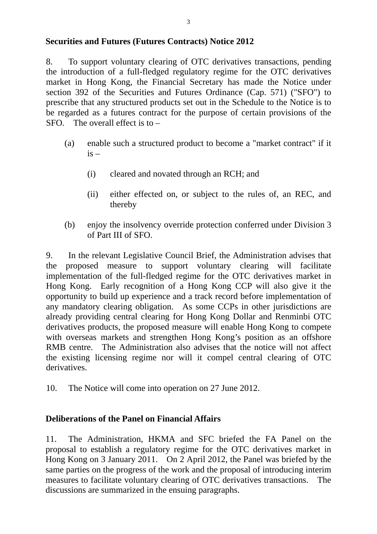### **Securities and Futures (Futures Contracts) Notice 2012**

8. To support voluntary clearing of OTC derivatives transactions, pending the introduction of a full-fledged regulatory regime for the OTC derivatives market in Hong Kong, the Financial Secretary has made the Notice under section 392 of the Securities and Futures Ordinance (Cap. 571) ("SFO") to prescribe that any structured products set out in the Schedule to the Notice is to be regarded as a futures contract for the purpose of certain provisions of the  $SFO.$  The overall effect is to  $-$ 

- (a) enable such a structured product to become a "market contract" if it  $i\bar{s}$  –
	- (i) cleared and novated through an RCH; and
	- (ii) either effected on, or subject to the rules of, an REC, and thereby
- (b) enjoy the insolvency override protection conferred under Division 3 of Part III of SFO.

9. In the relevant Legislative Council Brief, the Administration advises that the proposed measure to support voluntary clearing will facilitate implementation of the full-fledged regime for the OTC derivatives market in Hong Kong. Early recognition of a Hong Kong CCP will also give it the opportunity to build up experience and a track record before implementation of any mandatory clearing obligation. As some CCPs in other jurisdictions are already providing central clearing for Hong Kong Dollar and Renminbi OTC derivatives products, the proposed measure will enable Hong Kong to compete with overseas markets and strengthen Hong Kong's position as an offshore RMB centre. The Administration also advises that the notice will not affect the existing licensing regime nor will it compel central clearing of OTC derivatives.

10. The Notice will come into operation on 27 June 2012.

# **Deliberations of the Panel on Financial Affairs**

11. The Administration, HKMA and SFC briefed the FA Panel on the proposal to establish a regulatory regime for the OTC derivatives market in Hong Kong on 3 January 2011. On 2 April 2012, the Panel was briefed by the same parties on the progress of the work and the proposal of introducing interim measures to facilitate voluntary clearing of OTC derivatives transactions. The discussions are summarized in the ensuing paragraphs.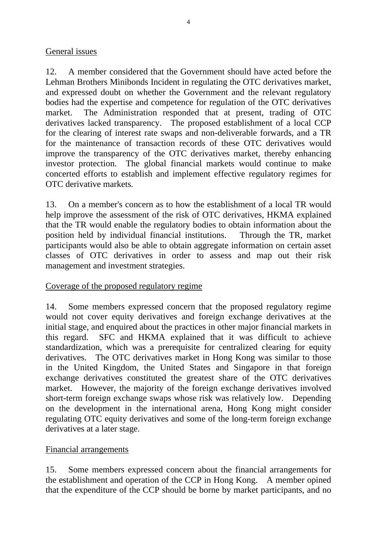# General issues

12. A member considered that the Government should have acted before the Lehman Brothers Minibonds Incident in regulating the OTC derivatives market, and expressed doubt on whether the Government and the relevant regulatory bodies had the expertise and competence for regulation of the OTC derivatives market. The Administration responded that at present, trading of OTC derivatives lacked transparency. The proposed establishment of a local CCP for the clearing of interest rate swaps and non-deliverable forwards, and a TR for the maintenance of transaction records of these OTC derivatives would improve the transparency of the OTC derivatives market, thereby enhancing investor protection. The global financial markets would continue to make concerted efforts to establish and implement effective regulatory regimes for OTC derivative markets.

13. On a member's concern as to how the establishment of a local TR would help improve the assessment of the risk of OTC derivatives, HKMA explained that the TR would enable the regulatory bodies to obtain information about the position held by individual financial institutions. Through the TR, market participants would also be able to obtain aggregate information on certain asset classes of OTC derivatives in order to assess and map out their risk management and investment strategies.

### Coverage of the proposed regulatory regime

14. Some members expressed concern that the proposed regulatory regime would not cover equity derivatives and foreign exchange derivatives at the initial stage, and enquired about the practices in other major financial markets in this regard. SFC and HKMA explained that it was difficult to achieve standardization, which was a prerequisite for centralized clearing for equity derivatives. The OTC derivatives market in Hong Kong was similar to those in the United Kingdom, the United States and Singapore in that foreign exchange derivatives constituted the greatest share of the OTC derivatives market. However, the majority of the foreign exchange derivatives involved short-term foreign exchange swaps whose risk was relatively low. Depending on the development in the international arena, Hong Kong might consider regulating OTC equity derivatives and some of the long-term foreign exchange derivatives at a later stage.

### Financial arrangements

15. Some members expressed concern about the financial arrangements for the establishment and operation of the CCP in Hong Kong. A member opined that the expenditure of the CCP should be borne by market participants, and no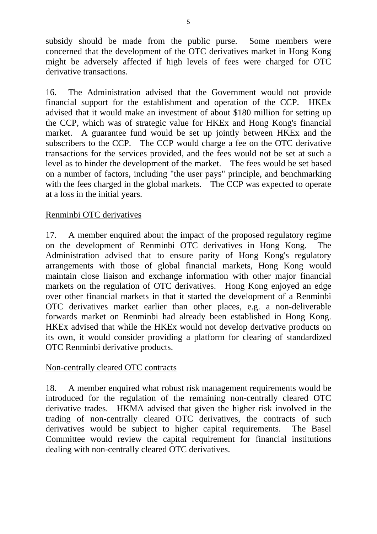subsidy should be made from the public purse. Some members were concerned that the development of the OTC derivatives market in Hong Kong might be adversely affected if high levels of fees were charged for OTC derivative transactions.

16. The Administration advised that the Government would not provide financial support for the establishment and operation of the CCP. HKEx advised that it would make an investment of about \$180 million for setting up the CCP, which was of strategic value for HKEx and Hong Kong's financial market. A guarantee fund would be set up jointly between HKEx and the subscribers to the CCP. The CCP would charge a fee on the OTC derivative transactions for the services provided, and the fees would not be set at such a level as to hinder the development of the market. The fees would be set based on a number of factors, including "the user pays" principle, and benchmarking with the fees charged in the global markets. The CCP was expected to operate at a loss in the initial years.

## Renminbi OTC derivatives

17. A member enquired about the impact of the proposed regulatory regime on the development of Renminbi OTC derivatives in Hong Kong. The Administration advised that to ensure parity of Hong Kong's regulatory arrangements with those of global financial markets, Hong Kong would maintain close liaison and exchange information with other major financial markets on the regulation of OTC derivatives. Hong Kong enjoyed an edge over other financial markets in that it started the development of a Renminbi OTC derivatives market earlier than other places, e.g. a non-deliverable forwards market on Renminbi had already been established in Hong Kong. HKEx advised that while the HKEx would not develop derivative products on its own, it would consider providing a platform for clearing of standardized OTC Renminbi derivative products.

### Non-centrally cleared OTC contracts

18. A member enquired what robust risk management requirements would be introduced for the regulation of the remaining non-centrally cleared OTC derivative trades. HKMA advised that given the higher risk involved in the trading of non-centrally cleared OTC derivatives, the contracts of such derivatives would be subject to higher capital requirements. The Basel Committee would review the capital requirement for financial institutions dealing with non-centrally cleared OTC derivatives.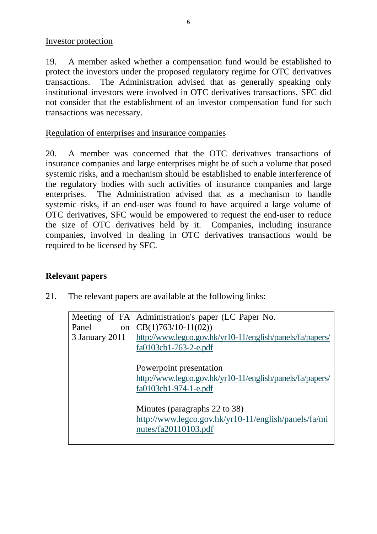Investor protection

19. A member asked whether a compensation fund would be established to protect the investors under the proposed regulatory regime for OTC derivatives transactions. The Administration advised that as generally speaking only institutional investors were involved in OTC derivatives transactions, SFC did not consider that the establishment of an investor compensation fund for such transactions was necessary.

### Regulation of enterprises and insurance companies

20. A member was concerned that the OTC derivatives transactions of insurance companies and large enterprises might be of such a volume that posed systemic risks, and a mechanism should be established to enable interference of the regulatory bodies with such activities of insurance companies and large enterprises. The Administration advised that as a mechanism to handle systemic risks, if an end-user was found to have acquired a large volume of OTC derivatives, SFC would be empowered to request the end-user to reduce the size of OTC derivatives held by it. Companies, including insurance companies, involved in dealing in OTC derivatives transactions would be required to be licensed by SFC.

# **Relevant papers**

21. The relevant papers are available at the following links:

| Panel<br>on    | Meeting of FA   Administration's paper (LC Paper No.<br>$CB(1)763/10-11(02))$                                 |
|----------------|---------------------------------------------------------------------------------------------------------------|
| 3 January 2011 | http://www.legco.gov.hk/yr10-11/english/panels/fa/papers/<br>fa0103cb1-763-2-e.pdf                            |
|                | Powerpoint presentation<br>http://www.legco.gov.hk/yr10-11/english/panels/fa/papers/<br>fa0103cb1-974-1-e.pdf |
|                | Minutes (paragraphs 22 to 38)<br>http://www.legco.gov.hk/yr10-11/english/panels/fa/mi<br>nutes/fa20110103.pdf |